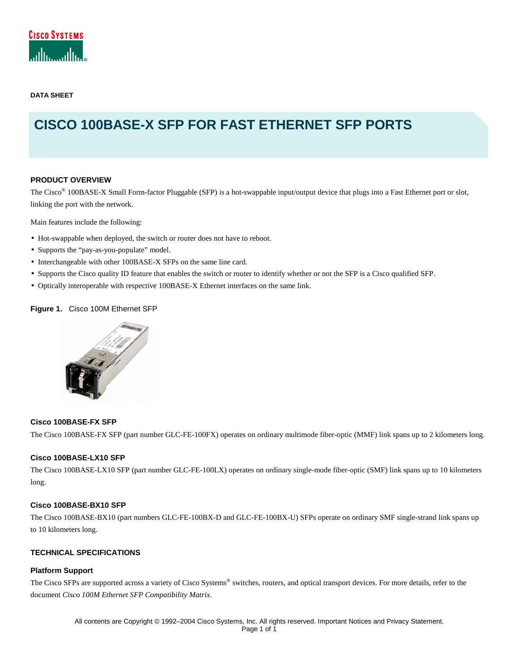**DATA SHEET** 

# **CISCO 100BASE-X SFP FOR FAST ETHERNET SFP PORTS**

## **PRODUCT OVERVIEW**

The Cisco<sup>®</sup> 100BASE-X Small Form-factor Pluggable (SFP) is a hot-swappable input/output device that plugs into a Fast Ethernet port or slot, linking the port with the network.

Main features include the following:

- Hot-swappable when deployed, the switch or router does not have to reboot.
- Supports the "pay-as-you-populate" model.
- Interchangeable with other 100BASE-X SFPs on the same line card.
- Supports the Cisco quality ID feature that enables the switch or router to identify whether or not the SFP is a Cisco qualified SFP.
- Optically interoperable with respective 100BASE-X Ethernet interfaces on the same link.

### **Figure 1.** Cisco 100M Ethernet SFP



#### **Cisco 100BASE-FX SFP**

The Cisco 100BASE-FX SFP (part number GLC-FE-100FX) operates on ordinary multimode fiber-optic (MMF) link spans up to 2 kilometers long.

# **Cisco 100BASE-LX10 SFP**

The Cisco 100BASE-LX10 SFP (part number GLC-FE-100LX) operates on ordinary single-mode fiber-optic (SMF) link spans up to 10 kilometers long.

#### **Cisco 100BASE-BX10 SFP**

The Cisco 100BASE-BX10 (part numbers GLC-FE-100BX-D and GLC-FE-100BX-U) SFPs operate on ordinary SMF single-strand link spans up to 10 kilometers long.

### **TECHNICAL SPECIFICATIONS**

### **Platform Support**

The Cisco SFPs are supported across a variety of Cisco Systems® switches, routers, and optical transport devices. For more details, refer to the document *Cisco 100M Ethernet SFP Compatibility Matrix*.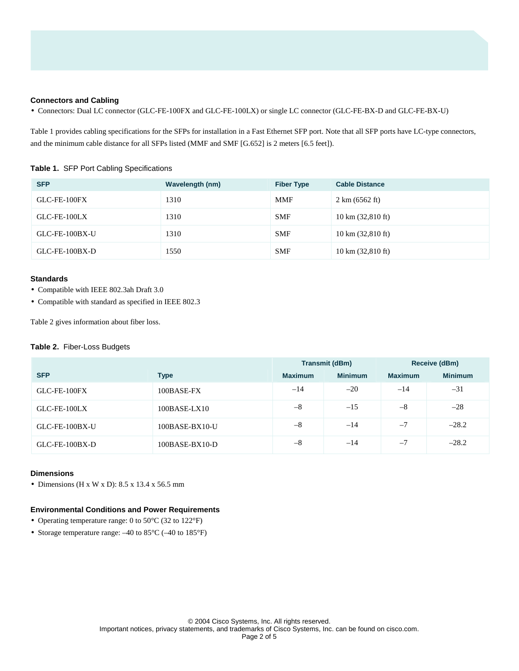#### **Connectors and Cabling**

• Connectors: Dual LC connector (GLC-FE-100FX and GLC-FE-100LX) or single LC connector (GLC-FE-BX-D and GLC-FE-BX-U)

Table 1 provides cabling specifications for the SFPs for installation in a Fast Ethernet SFP port. Note that all SFP ports have LC-type connectors, and the minimum cable distance for all SFPs listed (MMF and SMF [G.652] is 2 meters [6.5 feet]).

## **Table 1.** SFP Port Cabling Specifications

| <b>SFP</b>       | <b>Wavelength (nm)</b> | <b>Fiber Type</b> | <b>Cable Distance</b>            |
|------------------|------------------------|-------------------|----------------------------------|
| GLC-FE-100FX     | 1310                   | <b>MMF</b>        | $2 \text{ km} (6562 \text{ ft})$ |
| $GLC$ -FE-100LX  | 1310                   | <b>SMF</b>        | $10 \text{ km}$ (32,810 ft)      |
| GLC-FE-100BX-U   | 1310                   | <b>SMF</b>        | 10 km $(32,810 \text{ ft})$      |
| $GLC-FE-100BX-D$ | 1550                   | <b>SMF</b>        | $10 \text{ km}$ (32,810 ft)      |

#### **Standards**

- Compatible with IEEE 802.3ah Draft 3.0
- Compatible with standard as specified in IEEE 802.3

Table 2 gives information about fiber loss.

#### **Table 2.** Fiber-Loss Budgets

|                    |                  | Transmit (dBm) |                | Receive (dBm)  |                |
|--------------------|------------------|----------------|----------------|----------------|----------------|
| <b>SFP</b>         | <b>Type</b>      | <b>Maximum</b> | <b>Minimum</b> | <b>Maximum</b> | <b>Minimum</b> |
| GLC-FE-100FX       | $100BASE-FX$     | $-14$          | $-20$          | $-14$          | $-31$          |
| $GLC$ -FE-100 $LX$ | $100BASE-LX10$   | $-8$           | $-15$          | $-8$           | $-28$          |
| GLC-FE-100BX-U     | $100BASE-BX10-U$ | $-8$           | $-14$          | $-7$           | $-28.2$        |
| $GLC$ -FE-100BX-D  | $100BASE-BX10-D$ | $-8$           | $-14$          | $-7$           | $-28.2$        |

#### **Dimensions**

• Dimensions (H x W x D): 8.5 x 13.4 x 56.5 mm

### **Environmental Conditions and Power Requirements**

- Operating temperature range: 0 to 50°C (32 to 122°F)
- Storage temperature range:  $-40$  to  $85^{\circ}$ C ( $-40$  to  $185^{\circ}$ F)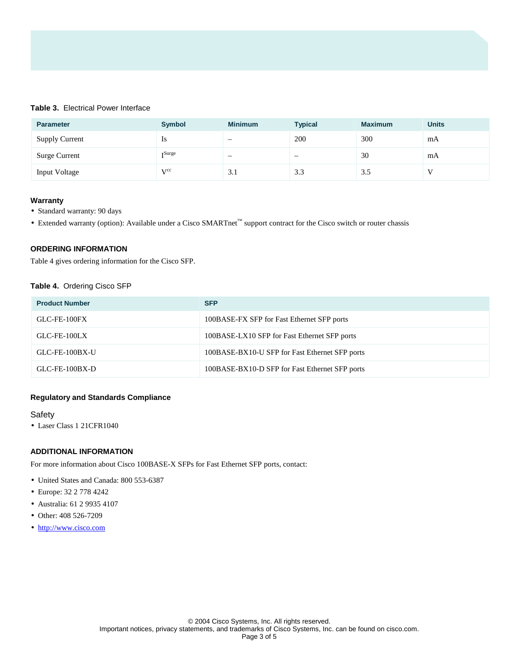## **Table 3.** Electrical Power Interface

| <b>Parameter</b>      | Symbol     | <b>Minimum</b>           | <b>Typical</b> | <b>Maximum</b> | <b>Units</b> |
|-----------------------|------------|--------------------------|----------------|----------------|--------------|
| <b>Supply Current</b> | 1s         | $\overline{\phantom{m}}$ | 200            | 300            | mA           |
| <b>Surge Current</b>  | $TT$ Surge |                          | -              | 30             | mA           |
| <b>Input Voltage</b>  | $V^{cc}$   | 3.1                      | 3.3            | 3.5            |              |

### **Warranty**

- Standard warranty: 90 days
- Extended warranty (option): Available under a Cisco SMARTnet™ support contract for the Cisco switch or router chassis

## **ORDERING INFORMATION**

Table 4 gives ordering information for the Cisco SFP.

## **Table 4.** Ordering Cisco SFP

| <b>Product Number</b> | <b>SFP</b>                                     |
|-----------------------|------------------------------------------------|
| GLC-FE-100FX          | 100BASE-FX SFP for Fast Ethernet SFP ports     |
| GLC-FE-100LX          | 100BASE-LX10 SFP for Fast Ethernet SFP ports   |
| GLC-FE-100BX-U        | 100BASE-BX10-U SFP for Fast Ethernet SFP ports |
| $GLC-FE-100BX-D$      | 100BASE-BX10-D SFP for Fast Ethernet SFP ports |

# **Regulatory and Standards Compliance**

## Safety

• Laser Class 1 21CFR1040

# **ADDITIONAL INFORMATION**

For more information about Cisco 100BASE-X SFPs for Fast Ethernet SFP ports, contact:

- United States and Canada: 800 553-6387
- Europe: 32 2 778 4242
- Australia: 61 2 9935 4107
- Other: 408 526-7209
- [http://www.cisco.com](http://www.cisco.com/)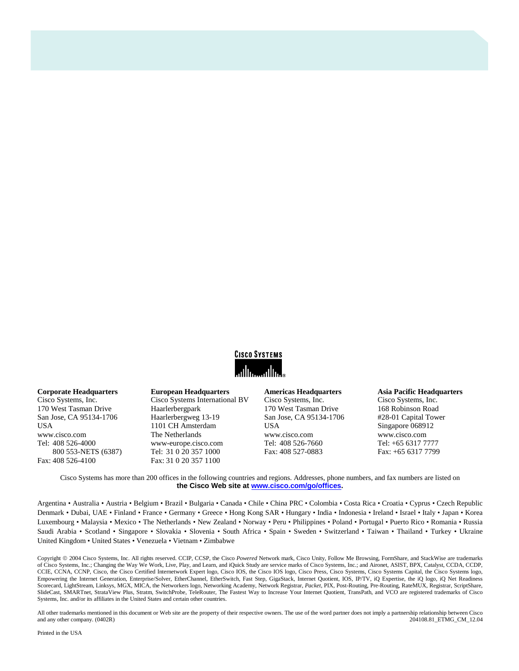

**Corporate Headquarters**  Cisco Systems, Inc. 170 West Tasman Drive San Jose, CA 95134-1706 **IISA** www.cisco.com Tel: 408 526-4000 800 553-NETS (6387) Fax: 408 526-4100

**European Headquarters**  Cisco Systems International BV Haarlerbergpark Haarlerbergweg 13-19 1101 CH Amsterdam The Netherlands www-europe.cisco.com Tel: 31 0 20 357 1000 Fax: 31 0 20 357 1100

**Americas Headquarters**  Cisco Systems, Inc. 170 West Tasman Drive San Jose, CA 95134-1706 **USA** www.cisco.com Tel: 408 526-7660 Fax: 408 527-0883

#### **Asia Pacific Headquarters**

Cisco Systems, Inc. 168 Robinson Road #28-01 Capital Tower Singapore 068912 www.cisco.com Tel: +65 6317 7777 Fax: +65 6317 7799

Cisco Systems has more than 200 offices in the following countries and regions. Addresses, phone numbers, and fax numbers are listed on **the Cisco Web site at [www.cisco.com/go/offices.](http://www.cisco.com/go/offices)** 

Argentina • Australia • Austria • Belgium • Brazil • Bulgaria • Canada • Chile • China PRC • Colombia • Costa Rica • Croatia • Cyprus • Czech Republic Denmark • Dubai, UAE • Finland • France • Germany • Greece • Hong Kong SAR • Hungary • India • Indonesia • Ireland • Israel • Italy • Japan • Korea Luxembourg • Malaysia • Mexico • The Netherlands • New Zealand • Norway • Peru • Philippines • Poland • Portugal • Puerto Rico • Romania • Russia Saudi Arabia • Scotland • Singapore • Slovakia • Slovenia • South Africa • Spain • Sweden • Switzerland • Taiwan • Thailand • Turkey • Ukraine United Kingdom • United States • Venezuela • Vietnam • Zimbabwe

Copyright © 2004 Cisco Systems, Inc. All rights reserved. CCIP, CCSP, the Cisco Powered Network mark, Cisco Unity, Follow Me Browsing, FormShare, and StackWise are trademarks of Cisco Systems, Inc.; Changing the Way We Work, Live, Play, and Learn, and iQuick Study are service marks of Cisco Systems, Inc.; and Aironet, ASIST, BPX, Catalyst, CCDA, CCDP, CCIE, CCNA, CCNP, Cisco, the Cisco Certified Internetwork Expert logo, Cisco IOS, the Cisco IOS logo, Cisco Press, Cisco Systems, Cisco Systems Capital, the Cisco Systems logo, Empowering the Internet Generation, Enterprise/Solver, EtherChannel, EtherSwitch, Fast Step, GigaStack, Internet Quotient, IOS, IP/TV, iQ Expertise, the iQ logo, iQ Net Readiness Scorecard, LightStream, Linksys, MGX, MICA, the Networkers logo, Networking Academy, Network Registrar, *Packet*, PIX, Post-Routing, Pre-Routing, RateMUX, Registrar, ScriptShare, SlideCast, SMARTnet, StrataView Plus, Stratm, SwitchProbe, TeleRouter, The Fastest Way to Increase Your Internet Quotient, TransPath, and VCO are registered trademarks of Cisco Systems, Inc. and/or its affiliates in the United States and certain other countries.

All other trademarks mentioned in this document or Web site are the property of their respective owners. The use of the word partner does not imply a partnership relationship between Cisco and any other company. (0402R) 20 and any other company. (0402R)